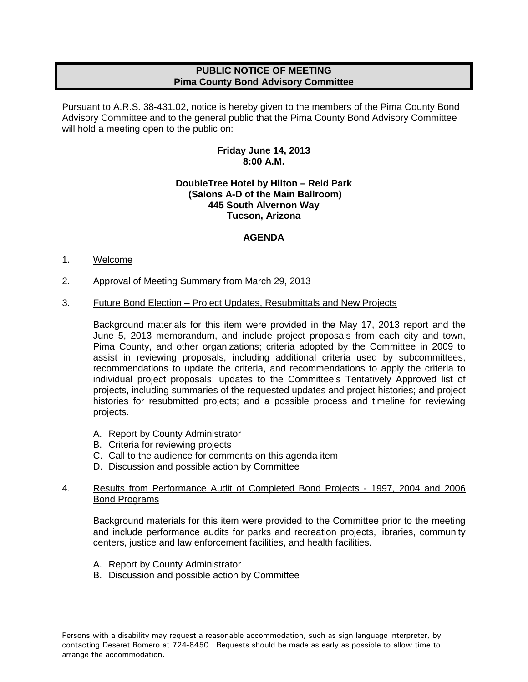# **PUBLIC NOTICE OF MEETING Pima County Bond Advisory Committee**

Pursuant to A.R.S. 38-431.02, notice is hereby given to the members of the Pima County Bond Advisory Committee and to the general public that the Pima County Bond Advisory Committee will hold a meeting open to the public on:

## **Friday June 14, 2013 8:00 A.M.**

### **DoubleTree Hotel by Hilton – Reid Park (Salons A-D of the Main Ballroom) 445 South Alvernon Way Tucson, Arizona**

# **AGENDA**

### 1. Welcome

2. Approval of Meeting Summary from March 29, 2013

### 3. Future Bond Election – Project Updates, Resubmittals and New Projects

Background materials for this item were provided in the May 17, 2013 report and the June 5, 2013 memorandum, and include project proposals from each city and town, Pima County, and other organizations; criteria adopted by the Committee in 2009 to assist in reviewing proposals, including additional criteria used by subcommittees, recommendations to update the criteria, and recommendations to apply the criteria to individual project proposals; updates to the Committee's Tentatively Approved list of projects, including summaries of the requested updates and project histories; and project histories for resubmitted projects; and a possible process and timeline for reviewing projects.

- A. Report by County Administrator
- B. Criteria for reviewing projects
- C. Call to the audience for comments on this agenda item
- D. Discussion and possible action by Committee

#### 4. Results from Performance Audit of Completed Bond Projects - 1997, 2004 and 2006 Bond Programs

Background materials for this item were provided to the Committee prior to the meeting and include performance audits for parks and recreation projects, libraries, community centers, justice and law enforcement facilities, and health facilities.

- A. Report by County Administrator
- B. Discussion and possible action by Committee